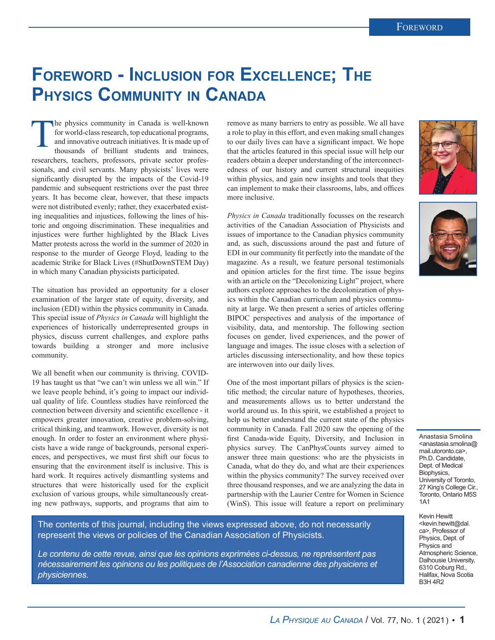## **Foreword - Inclusion for Excellence; The Physics Community in Canada**

The physics community in Canada is well-known for world-class research, top educational programs, and innovative outreach initiatives. It is made up of thousands of brilliant students and trainees, researchers, teachers, professors, private sector professionals, and civil servants. Many physicists' lives were significantly disrupted by the impacts of the Covid-19 pandemic and subsequent restrictions over the past three years. It has become clear, however, that these impacts were not distributed evenly; rather, they exacerbated existing inequalities and injustices, following the lines of historic and ongoing discrimination. These inequalities and injustices were further highlighted by the Black Lives Matter protests across the world in the summer of 2020 in response to the murder of George Floyd, leading to the academic Strike for Black Lives (#ShutDownSTEM Day) in which many Canadian physicists participated.

The situation has provided an opportunity for a closer examination of the larger state of equity, diversity, and inclusion (EDI) within the physics community in Canada. This special issue of *Physics in Canada* will highlight the experiences of historically underrepresented groups in physics, discuss current challenges, and explore paths towards building a stronger and more inclusive community.

We all benefit when our community is thriving. COVID-19 has taught us that "we can't win unless we all win." If we leave people behind, it's going to impact our individual quality of life. Countless studies have reinforced the connection between diversity and scientific excellence - it empowers greater innovation, creative problem-solving, critical thinking, and teamwork. However, diversity is not enough. In order to foster an environment where physicists have a wide range of backgrounds, personal experiences, and perspectives, we must first shift our focus to ensuring that the environment itself is inclusive. This is hard work. It requires actively dismantling systems and structures that were historically used for the explicit exclusion of various groups, while simultaneously creating new pathways, supports, and programs that aim to

remove as many barriers to entry as possible. We all have a role to play in this effort, and even making small changes to our daily lives can have a significant impact. We hope that the articles featured in this special issue will help our readers obtain a deeper understanding of the interconnectedness of our history and current structural inequities within physics, and gain new insights and tools that they can implement to make their classrooms, labs, and offices more inclusive.

*Physics in Canada* traditionally focusses on the research activities of the Canadian Association of Physicists and issues of importance to the Canadian physics community and, as such, discussions around the past and future of EDI in our community fit perfectly into the mandate of the magazine. As a result, we feature personal testimonials and opinion articles for the first time. The issue begins with an article on the "Decolonizing Light" project, where authors explore approaches to the decolonization of physics within the Canadian curriculum and physics community at large. We then present a series of articles offering BIPOC perspectives and analysis of the importance of visibility, data, and mentorship. The following section focuses on gender, lived experiences, and the power of language and images. The issue closes with a selection of articles discussing intersectionality, and how these topics are interwoven into our daily lives.

One of the most important pillars of physics is the scientific method; the circular nature of hypotheses, theories, and measurements allows us to better understand the world around us. In this spirit, we established a project to help us better understand the current state of the physics community in Canada. Fall 2020 saw the opening of the first Canada-wide Equity, Diversity, and Inclusion in physics survey. The CanPhysCounts survey aimed to answer three main questions: who are the physicists in Canada, what do they do, and what are their experiences within the physics community? The survey received over three thousand responses, and we are analyzing the data in partnership with the Laurier Centre for Women in Science (WinS). This issue will feature a report on preliminary

The contents of this journal, including the views expressed above, do not necessarily represent the views or policies of the Canadian Association of Physicists.

*Le contenu de cette revue, ainsi que les opinions exprimées ci-dessus, ne représentent pas nécessairement les opinions ou les politiques de l'Association canadienne des physiciens et physiciennes.*





Anastasia Smolina <anastasia.smolina@ mail.utoronto.ca>, Ph.D. Candidate, Dept. of Medical Biophysics, University of Toronto, 27 King's College Cir., Toronto, Ontario M5S 1A1

Kevin Hewitt <kevin.hewitt@dal. ca>, Professor of Physics, Dept. of Physics and Atmospheric Science, Dalhousie University, 6310 Coburg Rd., Halifax, Nova Scotia B3H 4R2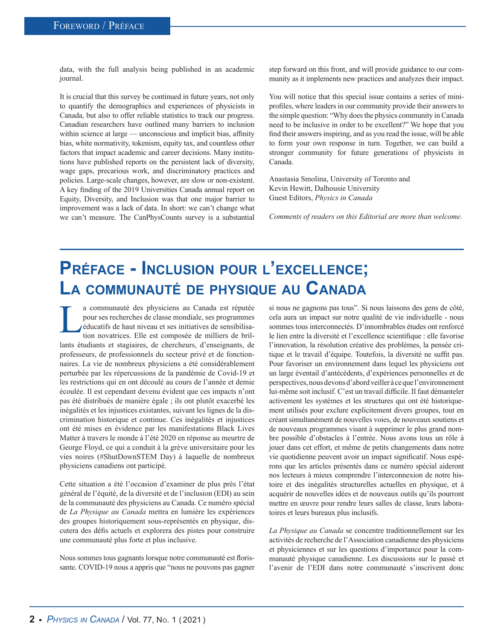data, with the full analysis being published in an academic journal.

It is crucial that this survey be continued in future years, not only to quantify the demographics and experiences of physicists in Canada, but also to offer reliable statistics to track our progress. Canadian researchers have outlined many barriers to inclusion within science at large — unconscious and implicit bias, affinity bias, white normativity, tokenism, equity tax, and countless other factors that impact academic and career decisions. Many institutions have published reports on the persistent lack of diversity, wage gaps, precarious work, and discriminatory practices and policies. Large-scale changes, however, are slow or non-existent. A key finding of the 2019 Universities Canada annual report on Equity, Diversity, and Inclusion was that one major barrier to improvement was a lack of data. In short: we can't change what we can't measure. The CanPhysCounts survey is a substantial step forward on this front, and will provide guidance to our community as it implements new practices and analyzes their impact.

You will notice that this special issue contains a series of miniprofiles, where leaders in our community provide their answers to the simple question: "Why does the physics community in Canada need to be inclusive in order to be excellent?" We hope that you find their answers inspiring, and as you read the issue, will be able to form your own response in turn. Together, we can build a stronger community for future generations of physicists in Canada.

Anastasia Smolina, University of Toronto and Kevin Hewitt, Dalhousie University Guest Editors, *Physics in Canada*

*Comments of readers on this Editorial are more than welcome.*

## **Préface - Inclusion pour l'excellence; La communauté de physique au Canada**

a communauté des physiciens au Canada est réputée<br>
pour ses recherches de classe mondiale, ses programmes<br>
éducatifs de haut niveau et ses initiatives de sensibilisa-<br>
tion novatrices. Elle est composée de milliers de bril pour ses recherches de classe mondiale, ses programmes éducatifs de haut niveau et ses initiatives de sensibilisalants étudiants et stagiaires, de chercheurs, d'enseignants, de professeurs, de professionnels du secteur privé et de fonctionnaires. La vie de nombreux physiciens a été considérablement perturbée par les répercussions de la pandémie de Covid-19 et les restrictions qui en ont découlé au cours de l'année et demie écoulée. Il est cependant devenu évident que ces impacts n'ont pas été distribués de manière égale ; ils ont plutôt exacerbé les inégalités et les injustices existantes, suivant les lignes de la discrimination historique et continue. Ces inégalités et injustices ont été mises en évidence par les manifestations Black Lives Matter à travers le monde à l'été 2020 en réponse au meurtre de George Floyd, ce qui a conduit à la grève universitaire pour les vies noires (#ShutDownSTEM Day) à laquelle de nombreux physiciens canadiens ont participé.

Cette situation a été l'occasion d'examiner de plus près l'état général de l'équité, de la diversité et de l'inclusion (EDI) au sein de la communauté des physiciens au Canada. Ce numéro spécial de *La Physique au Canada* mettra en lumière les expériences des groupes historiquement sous-représentés en physique, discutera des défis actuels et explorera des pistes pour construire une communauté plus forte et plus inclusive.

Nous sommes tous gagnants lorsque notre communauté est florissante. COVID-19 nous a appris que "nous ne pouvons pas gagner si nous ne gagnons pas tous". Si nous laissons des gens de côté, cela aura un impact sur notre qualité de vie individuelle - nous sommes tous interconnectés. D'innombrables études ont renforcé le lien entre la diversité et l'excellence scientifique : elle favorise l'innovation, la résolution créative des problèmes, la pensée critique et le travail d'équipe. Toutefois, la diversité ne suffit pas. Pour favoriser un environnement dans lequel les physiciens ont un large éventail d'antécédents, d'expériences personnelles et de perspectives, nous devons d'abord veiller à ce que l'environnement lui-même soit inclusif. C'est un travail difficile. Il faut démanteler activement les systèmes et les structures qui ont été historiquement utilisés pour exclure explicitement divers groupes, tout en créant simultanément de nouvelles voies, de nouveaux soutiens et de nouveaux programmes visant à supprimer le plus grand nombre possible d'obstacles à l'entrée. Nous avons tous un rôle à jouer dans cet effort, et même de petits changements dans notre vie quotidienne peuvent avoir un impact significatif. Nous espérons que les articles présentés dans ce numéro spécial aideront nos lecteurs à mieux comprendre l'interconnexion de notre histoire et des inégalités structurelles actuelles en physique, et à acquérir de nouvelles idées et de nouveaux outils qu'ils pourront mettre en œuvre pour rendre leurs salles de classe, leurs laboratoires et leurs bureaux plus inclusifs.

*La Physique au Canada* se concentre traditionnellement sur les activités de recherche de l'Association canadienne des physiciens et physiciennes et sur les questions d'importance pour la communauté physique canadienne. Les discussions sur le passé et l'avenir de l'EDI dans notre communauté s'inscrivent donc